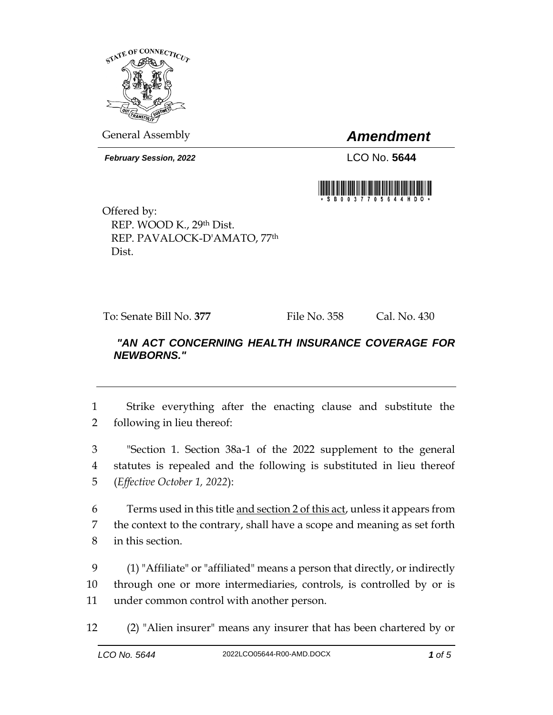

General Assembly *Amendment*

*February Session, 2022* LCO No. 5644



Offered by: REP. WOOD K., 29th Dist. REP. PAVALOCK-D'AMATO, 77th Dist.

To: Senate Bill No. **377** File No. 358 Cal. No. 430

## *"AN ACT CONCERNING HEALTH INSURANCE COVERAGE FOR NEWBORNS."*

1 Strike everything after the enacting clause and substitute the 2 following in lieu thereof:

3 "Section 1. Section 38a-1 of the 2022 supplement to the general 4 statutes is repealed and the following is substituted in lieu thereof 5 (*Effective October 1, 2022*):

6 Terms used in this title and section 2 of this act, unless it appears from 7 the context to the contrary, shall have a scope and meaning as set forth 8 in this section.

9 (1) "Affiliate" or "affiliated" means a person that directly, or indirectly 10 through one or more intermediaries, controls, is controlled by or is 11 under common control with another person.

12 (2) "Alien insurer" means any insurer that has been chartered by or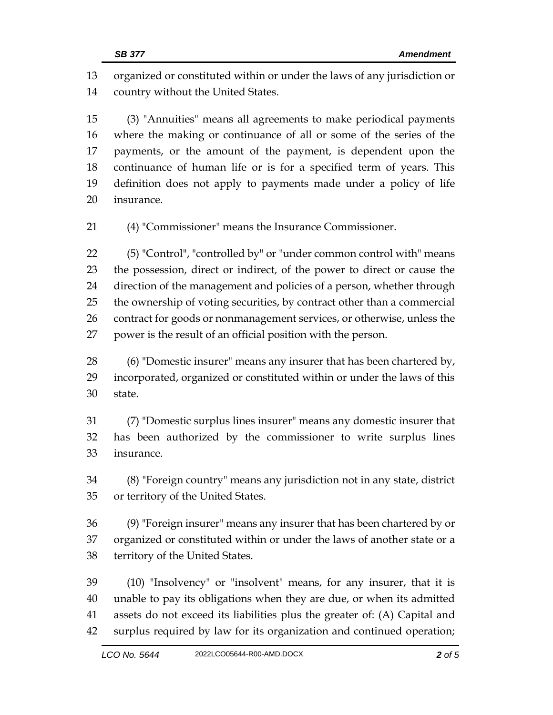organized or constituted within or under the laws of any jurisdiction or country without the United States.

 (3) "Annuities" means all agreements to make periodical payments where the making or continuance of all or some of the series of the payments, or the amount of the payment, is dependent upon the continuance of human life or is for a specified term of years. This definition does not apply to payments made under a policy of life insurance.

(4) "Commissioner" means the Insurance Commissioner.

 (5) "Control", "controlled by" or "under common control with" means the possession, direct or indirect, of the power to direct or cause the direction of the management and policies of a person, whether through the ownership of voting securities, by contract other than a commercial 26 contract for goods or nonmanagement services, or otherwise, unless the power is the result of an official position with the person.

 (6) "Domestic insurer" means any insurer that has been chartered by, incorporated, organized or constituted within or under the laws of this state.

 (7) "Domestic surplus lines insurer" means any domestic insurer that has been authorized by the commissioner to write surplus lines insurance.

 (8) "Foreign country" means any jurisdiction not in any state, district or territory of the United States.

 (9) "Foreign insurer" means any insurer that has been chartered by or organized or constituted within or under the laws of another state or a territory of the United States.

 (10) "Insolvency" or "insolvent" means, for any insurer, that it is unable to pay its obligations when they are due, or when its admitted assets do not exceed its liabilities plus the greater of: (A) Capital and surplus required by law for its organization and continued operation;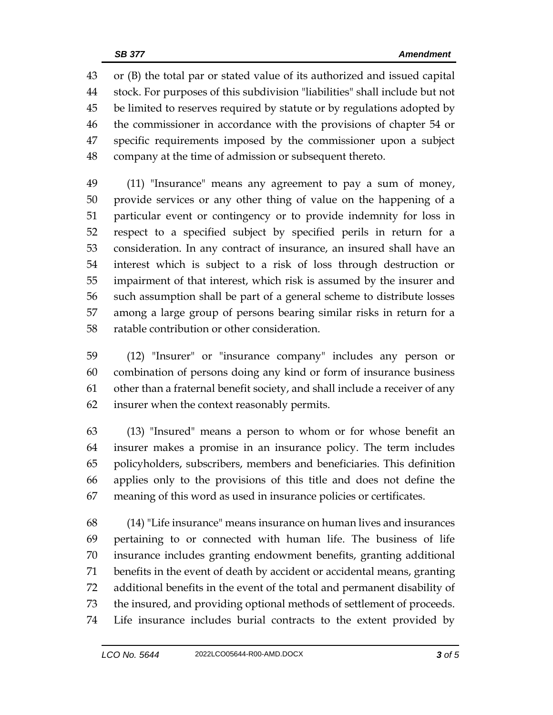or (B) the total par or stated value of its authorized and issued capital stock. For purposes of this subdivision "liabilities" shall include but not be limited to reserves required by statute or by regulations adopted by the commissioner in accordance with the provisions of chapter 54 or specific requirements imposed by the commissioner upon a subject company at the time of admission or subsequent thereto.

 (11) "Insurance" means any agreement to pay a sum of money, provide services or any other thing of value on the happening of a particular event or contingency or to provide indemnity for loss in respect to a specified subject by specified perils in return for a consideration. In any contract of insurance, an insured shall have an interest which is subject to a risk of loss through destruction or impairment of that interest, which risk is assumed by the insurer and such assumption shall be part of a general scheme to distribute losses among a large group of persons bearing similar risks in return for a ratable contribution or other consideration.

 (12) "Insurer" or "insurance company" includes any person or combination of persons doing any kind or form of insurance business other than a fraternal benefit society, and shall include a receiver of any insurer when the context reasonably permits.

 (13) "Insured" means a person to whom or for whose benefit an insurer makes a promise in an insurance policy. The term includes policyholders, subscribers, members and beneficiaries. This definition applies only to the provisions of this title and does not define the meaning of this word as used in insurance policies or certificates.

 (14) "Life insurance" means insurance on human lives and insurances pertaining to or connected with human life. The business of life insurance includes granting endowment benefits, granting additional benefits in the event of death by accident or accidental means, granting additional benefits in the event of the total and permanent disability of the insured, and providing optional methods of settlement of proceeds. Life insurance includes burial contracts to the extent provided by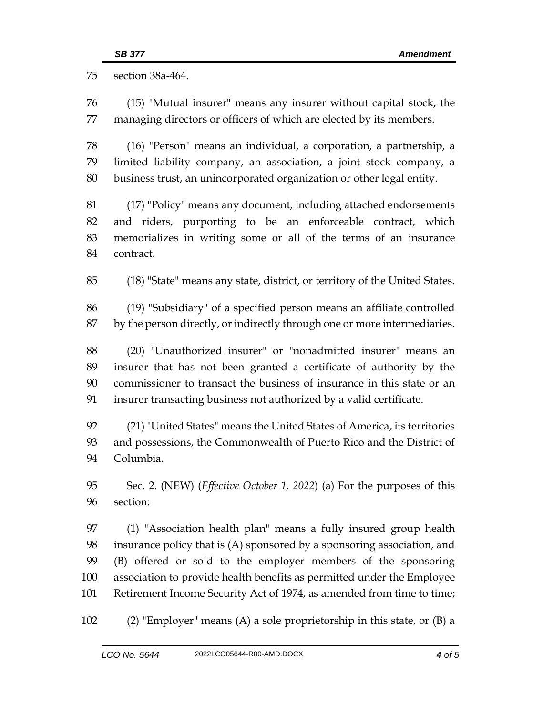section 38a-464.

 (15) "Mutual insurer" means any insurer without capital stock, the managing directors or officers of which are elected by its members.

 (16) "Person" means an individual, a corporation, a partnership, a limited liability company, an association, a joint stock company, a business trust, an unincorporated organization or other legal entity.

 (17) "Policy" means any document, including attached endorsements and riders, purporting to be an enforceable contract, which memorializes in writing some or all of the terms of an insurance contract.

(18) "State" means any state, district, or territory of the United States.

 (19) "Subsidiary" of a specified person means an affiliate controlled by the person directly, or indirectly through one or more intermediaries.

 (20) "Unauthorized insurer" or "nonadmitted insurer" means an insurer that has not been granted a certificate of authority by the commissioner to transact the business of insurance in this state or an insurer transacting business not authorized by a valid certificate.

 (21) "United States" means the United States of America, its territories and possessions, the Commonwealth of Puerto Rico and the District of Columbia.

 Sec. 2. (NEW) (*Effective October 1, 2022*) (a) For the purposes of this section:

 (1) "Association health plan" means a fully insured group health insurance policy that is (A) sponsored by a sponsoring association, and (B) offered or sold to the employer members of the sponsoring association to provide health benefits as permitted under the Employee Retirement Income Security Act of 1974, as amended from time to time;

(2) "Employer" means (A) a sole proprietorship in this state, or (B) a